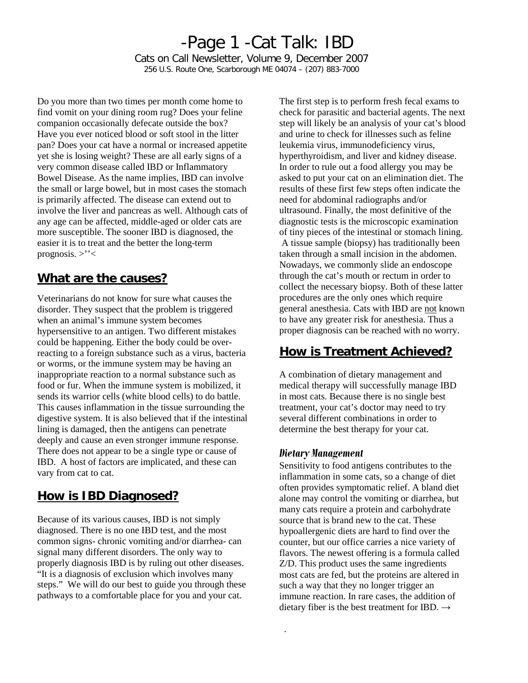# -Page 1 -Cat Talk: IBD Cats on Call Newsletter, Volume 9, December 2007

256 U.S. Route One, Scarborough ME 04074 – (207) 883-7000

Do you more than two times per month come home to find vomit on your dining room rug? Does your feline companion occasionally defecate outside the box? Have you ever noticed blood or soft stool in the litter pan? Does your cat have a normal or increased appetite yet she is losing weight? These are all early signs of a very common disease called IBD or Inflammatory Bowel Disease. As the name implies, IBD can involve the small or large bowel, but in most cases the stomach is primarily affected. The disease can extend out to involve the liver and pancreas as well. Although cats of any age can be affected, middle-aged or older cats are more susceptible. The sooner IBD is diagnosed, the easier it is to treat and the better the long-term prognosis.  $>$ '' $<$ 

## **What are the causes?**

Veterinarians do not know for sure what causes the disorder. They suspect that the problem is triggered when an animal's immune system becomes hypersensitive to an antigen. Two different mistakes could be happening. Either the body could be overreacting to a foreign substance such as a virus, bacteria or worms, or the immune system may be having an inappropriate reaction to a normal substance such as food or fur. When the immune system is mobilized, it sends its warrior cells (white blood cells) to do battle. This causes inflammation in the tissue surrounding the digestive system. It is also believed that if the intestinal lining is damaged, then the antigens can penetrate deeply and cause an even stronger immune response. There does not appear to be a single type or cause of IBD. A host of factors are implicated, and these can vary from cat to cat.

## **How is IBD Diagnosed?**

Because of its various causes, IBD is not simply diagnosed. There is no one IBD test, and the most common signs- chronic vomiting and/or diarrhea- can signal many different disorders. The only way to properly diagnosis IBD is by ruling out other diseases. "It is a diagnosis of exclusion which involves many steps." We will do our best to guide you through these pathways to a comfortable place for you and your cat.

The first step is to perform fresh fecal exams to check for parasitic and bacterial agents. The next step will likely be an analysis of your cat's blood and urine to check for illnesses such as feline leukemia virus, immunodeficiency virus, hyperthyroidism, and liver and kidney disease. In order to rule out a food allergy you may be asked to put your cat on an elimination diet. The results of these first few steps often indicate the need for abdominal radiographs and/or ultrasound. Finally, the most definitive of the diagnostic tests is the microscopic examination of tiny pieces of the intestinal or stomach lining. A tissue sample (biopsy) has traditionally been taken through a small incision in the abdomen. Nowadays, we commonly slide an endoscope through the cat's mouth or rectum in order to collect the necessary biopsy. Both of these latter procedures are the only ones which require general anesthesia. Cats with IBD are not known to have any greater risk for anesthesia. Thus a proper diagnosis can be reached with no worry.

# **How is Treatment Achieved?**

A combination of dietary management and medical therapy will successfully manage IBD in most cats. Because there is no single best treatment, your cat's doctor may need to try several different combinations in order to determine the best therapy for your cat.

## *Dietary Management*

.

Sensitivity to food antigens contributes to the inflammation in some cats, so a change of diet often provides symptomatic relief. A bland diet alone may control the vomiting or diarrhea, but many cats require a protein and carbohydrate source that is brand new to the cat. These hypoallergenic diets are hard to find over the counter, but our office carries a nice variety of flavors. The newest offering is a formula called Z/D. This product uses the same ingredients most cats are fed, but the proteins are altered in such a way that they no longer trigger an immune reaction. In rare cases, the addition of dietary fiber is the best treatment for IBD.  $\rightarrow$